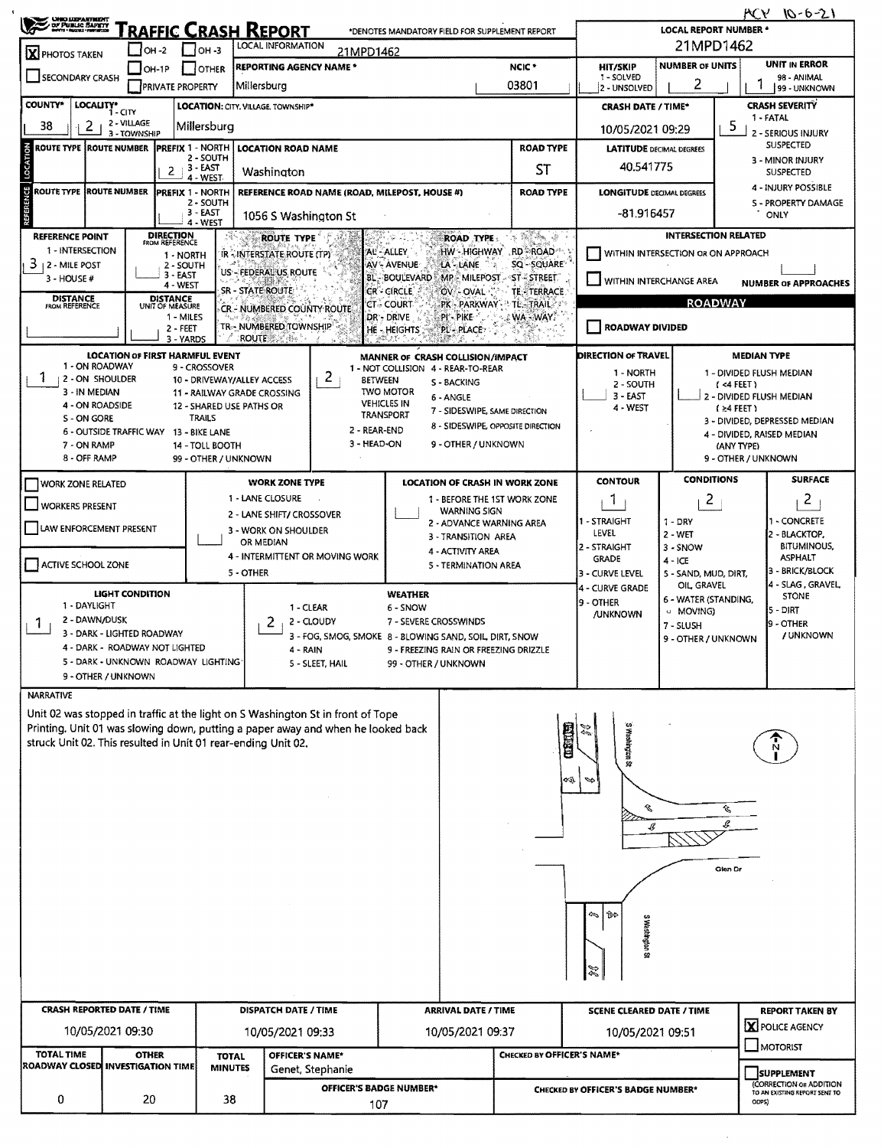| <b>CHAC LUDPARTMENT</b><br>DF PUBLIC SAFETY                                        |                                                                                   |                                                                          |                                         | RAFFIC CRASH REPORT                                                             |                                                                                                                                                                     | *DENOTES MANDATORY FIELD FOR SUPPLEMENT REPORT                                                                        |                                                                                   |                                                                   |                                                                          | <b>LOCAL REPORT NUMBER *</b>       |                                                             | <b>MCY 10-6-21</b>                                       |  |  |
|------------------------------------------------------------------------------------|-----------------------------------------------------------------------------------|--------------------------------------------------------------------------|-----------------------------------------|---------------------------------------------------------------------------------|---------------------------------------------------------------------------------------------------------------------------------------------------------------------|-----------------------------------------------------------------------------------------------------------------------|-----------------------------------------------------------------------------------|-------------------------------------------------------------------|--------------------------------------------------------------------------|------------------------------------|-------------------------------------------------------------|----------------------------------------------------------|--|--|
| LOCAL INFORMATION<br>$1$ OH -3<br>$ $ OH -2<br>21MPD1462<br>X PHOTOS TAKEN         |                                                                                   |                                                                          |                                         |                                                                                 |                                                                                                                                                                     |                                                                                                                       |                                                                                   |                                                                   |                                                                          | 21MPD1462                          |                                                             |                                                          |  |  |
| SECONDARY CRASH                                                                    |                                                                                   | $\Box$ OH-1P<br><b>PRIVATE PROPERTY</b>                                  | <b>I</b> JOTHER                         | <b>Millersburg</b>                                                              | <b>REPORTING AGENCY NAME*</b>                                                                                                                                       | UNIT IN ERROR<br><b>NUMBER OF UNITS</b><br>HIT/SKIP<br>1 - SOLVED<br>98 - ANIMAL<br>2<br>2 - UNSOLVED<br>99 - UNKNOWN |                                                                                   |                                                                   |                                                                          |                                    |                                                             |                                                          |  |  |
| COUNTY*                                                                            | LOCALITY* CITY<br>LOCATION: CITY, VILLAGE, TOWNSHIP*<br><b>CRASH DATE / TIME*</b> |                                                                          |                                         |                                                                                 |                                                                                                                                                                     |                                                                                                                       |                                                                                   |                                                                   |                                                                          |                                    |                                                             | <b>CRASH SEVERITY</b>                                    |  |  |
| 2 - VILLAGE<br>38<br>2<br>Millersburg<br>3 - TOWNSHIP                              |                                                                                   |                                                                          |                                         |                                                                                 |                                                                                                                                                                     |                                                                                                                       |                                                                                   |                                                                   | 10/05/2021 09:29                                                         |                                    | 1 - FATAL<br>5<br><b>2 - SERIOUS INJURY</b>                 |                                                          |  |  |
| ROUTE TYPE ROUTE NUMBER PREFIX 1 - NORTH<br><b>LOCATION ROAD NAME</b><br>2 - SOUTH |                                                                                   |                                                                          |                                         |                                                                                 |                                                                                                                                                                     | <b>ROAD TYPE</b>                                                                                                      |                                                                                   |                                                                   | <b>LATITUDE DECIMAL DEGREES</b>                                          |                                    | <b>SUSPECTED</b><br>3 - MINOR INJURY                        |                                                          |  |  |
|                                                                                    |                                                                                   | $2 + 3 - EAST$                                                           | 4 - WEST                                | Washington                                                                      |                                                                                                                                                                     |                                                                                                                       |                                                                                   | ST                                                                | 40.541775                                                                |                                    |                                                             | SUSPECTED                                                |  |  |
|                                                                                    | <b>ROUTE TYPE ROUTE NUMBER</b>                                                    | <b>PREFIX 1 - NORTH</b>                                                  | 2 - SOUTH                               |                                                                                 |                                                                                                                                                                     | REFERENCE ROAD NAME (ROAD, MILEPOST, HOUSE #)                                                                         | <b>ROAD TYPE</b>                                                                  |                                                                   |                                                                          | <b>LONGITUDE DECIMAL DEGREES</b>   |                                                             | 4 - INJURY POSSIBLE<br>S - PROPERTY DAMAGE               |  |  |
|                                                                                    |                                                                                   |                                                                          | 3 - EAST<br>4 - WEST                    | $-81.916457$<br>1056 S Washington St<br>医偏瘫 家                                   |                                                                                                                                                                     |                                                                                                                       |                                                                                   |                                                                   |                                                                          |                                    | ONLY                                                        |                                                          |  |  |
| <b>REFERENCE POINT</b><br>1 - INTERSECTION<br>3<br>12 - MILE POST                  |                                                                                   | <b>DIRECTION</b><br>FROM REFERENCE<br>1 - NORTH<br>2 - SOUTH<br>3 - EAST |                                         | <b>ROUTE TYPE</b><br>IR - INTERSTATE ROUTE (TP)<br>US - FEDERAL US ROUTE        |                                                                                                                                                                     | AL-ALLEY<br><b>AV-AVENUE</b><br><b>BL-BOULEVARD</b>                                                                   | <b>ROAD TYPE:</b><br>HW - HIGHWAY RD - ROAD<br>LA - LANE<br>MP MILEPOST ST-STREET | <b>INTERSECTION RELATED</b><br>WITHIN INTERSECTION OR ON APPROACH |                                                                          |                                    |                                                             |                                                          |  |  |
| 3 - HOUSE #<br><b>DISTANCE</b>                                                     |                                                                                   | 4 - WEST<br><b>DISTANCE</b>                                              |                                         | SR - STATE ROUTE                                                                |                                                                                                                                                                     | <b>CR-CIRCLE</b>                                                                                                      | OV - OVAL                                                                         | <b>TE-TERRACE</b>                                                 | WITHIN INTERCHANGE AREA<br><b>NUMBER OF APPROACHES</b><br><b>ROADWAY</b> |                                    |                                                             |                                                          |  |  |
| <b>FROM REFERENCE</b>                                                              |                                                                                   | UNIT OF MEASURE<br>1 - MILES<br>2 - FEET<br>3 - YARDS                    |                                         | CR - NUMBERED COUNTY ROUTE<br>TR-- NUMBERED TOWNSHIP<br><b>ROUTE</b><br>r ollan |                                                                                                                                                                     | <b>CT - COURT</b><br>DR - DRIVE<br><b>HE-HEIGHTS</b>                                                                  | :PI' - PIKE<br>PL - PLACE                                                         | PK - PARKWAY - TL - TRAIL<br>∴. WA - WAY.                         | <b>ROADWAY DIVIDED</b>                                                   |                                    |                                                             |                                                          |  |  |
|                                                                                    | <b>LOCATION OF FIRST HARMFUL EVENT</b>                                            |                                                                          |                                         |                                                                                 |                                                                                                                                                                     | MANNER OF CRASH COLLISION/IMPACT                                                                                      |                                                                                   |                                                                   | DIRECTION OF TRAVEL                                                      |                                    | <b>MEDIAN TYPE</b>                                          |                                                          |  |  |
|                                                                                    | 1 - ON ROADWAY<br>2 - ON SHOULDER                                                 |                                                                          | 9 - CROSSOVER                           | 10 - DRIVEWAY/ALLEY ACCESS                                                      | 2 <sub>1</sub>                                                                                                                                                      | 1 - NOT COLLISION 4 - REAR-TO-REAR<br><b>BETWEEN</b><br>S - BACKING                                                   |                                                                                   |                                                                   | 1 - NORTH<br>2 - SOUTH                                                   |                                    | $(4$ FEET)                                                  | 1 - DIVIDED FLUSH MEDIAN                                 |  |  |
|                                                                                    | 3 - IN MEDIAN<br>4 - ON ROADSIDE                                                  |                                                                          |                                         | 11 - RAILWAY GRADE CROSSING<br>12 - SHARED USE PATHS OR                         |                                                                                                                                                                     | <b>TWO MOTOR</b><br>6 - ANGLE<br><b>VEHICLES IN</b>                                                                   | 7 - SIDESWIPE, SAME DIRECTION                                                     |                                                                   | 3 - EAST<br>4 - WEST                                                     |                                    | $(24$ FEET)                                                 | 2 - DIVIDED FLUSH MEDIAN                                 |  |  |
|                                                                                    | S - ON GORE<br>6 - OUTSIDE TRAFFIC WAY 13 - BIKE LANE                             |                                                                          | <b>TRAILS</b>                           |                                                                                 | 2 - REAR-END                                                                                                                                                        | <b>TRANSPORT</b>                                                                                                      |                                                                                   | 8 - SIDESWIPE, OPPOSITE DIRECTION                                 |                                                                          |                                    | 3 - DIVIDED, DEPRESSED MEDIAN<br>4 - DIVIDED, RAISED MEDIAN |                                                          |  |  |
|                                                                                    | 7 - ON RAMP<br>8 - OFF RAMP                                                       |                                                                          | 14 - TOLL BOOTH<br>99 - OTHER / UNKNOWN |                                                                                 | 3 - HEAD-ON                                                                                                                                                         |                                                                                                                       |                                                                                   | (ANY TYPE)<br>9 - OTHER / UNKNOWN                                 |                                                                          |                                    |                                                             |                                                          |  |  |
| <b>WORK ZONE RELATED</b>                                                           |                                                                                   |                                                                          |                                         | <b>WORK ZONE TYPE</b>                                                           |                                                                                                                                                                     |                                                                                                                       |                                                                                   | <b>LOCATION OF CRASH IN WORK ZONE</b>                             | <b>CONTOUR</b>                                                           | <b>CONDITIONS</b>                  |                                                             | <b>SURFACE</b>                                           |  |  |
| <b>WORKERS PRESENT</b>                                                             |                                                                                   |                                                                          |                                         | 1 - LANE CLOSURE<br>2 - LANE SHIFT/ CROSSOVER                                   |                                                                                                                                                                     |                                                                                                                       | <b>WARNING SIGN</b>                                                               | 1 - BEFORE THE 1ST WORK ZONE                                      | 1                                                                        | $\overline{2}$                     |                                                             | $\overline{2}$                                           |  |  |
|                                                                                    | LAW ENFORCEMENT PRESENT                                                           |                                                                          |                                         |                                                                                 | 2 - ADVANCE WARNING AREA<br>3 - WORK ON SHOULDER<br>3 - TRANSITION AREA                                                                                             |                                                                                                                       |                                                                                   |                                                                   | 1 - STRAIGHT<br>LEVEL                                                    | $1 - DRY$<br>$2 - WET$             |                                                             | - CONCRETE<br>2 - BLACKTOP,                              |  |  |
|                                                                                    |                                                                                   |                                                                          |                                         | OR MEDIAN                                                                       | 4 - ACTIVITY AREA<br>4 - INTERMITTENT OR MOVING WORK<br>5 - TERMINATION AREA                                                                                        |                                                                                                                       |                                                                                   |                                                                   | 2 - STRAIGHT<br><b>GRADE</b>                                             | $3 - SNOW$<br>$4 - ICE$            |                                                             | <b>BITUMINOUS,</b><br><b>ASPHALT</b>                     |  |  |
| ACTIVE SCHOOL ZONE                                                                 |                                                                                   |                                                                          |                                         | 5 - OTHER                                                                       |                                                                                                                                                                     |                                                                                                                       |                                                                                   |                                                                   | 3 - CURVE LEVEL<br>4 - CURVE GRADE                                       | 5 - SAND, MUD, DIRT,<br>OIL GRAVEL |                                                             | 3 - BRICK/BLOCK<br>4 - SLAG , GRAVEL,                    |  |  |
|                                                                                    | <b>LIGHT CONDITION</b><br>1 - DAYLIGHT                                            |                                                                          |                                         |                                                                                 | 1 - CLEAR                                                                                                                                                           | <b>WEATHER</b><br>6 - SNOW                                                                                            |                                                                                   |                                                                   | 19 - OTHER                                                               | 6 - WATER (STANDING,<br>U MOVING)  | <b>STONE</b><br>$5 - DIRT$                                  |                                                          |  |  |
| -1                                                                                 | 2 - DAWN/DUSK<br>3 - DARK - LIGHTED ROADWAY                                       |                                                                          |                                         | 2                                                                               | 2 - CLOUDY<br>7 - SEVERE CROSSWINDS<br>3 - FOG, SMOG, SMOKE 8 - BLOWING SAND, SOIL, DIRT, SNOW                                                                      |                                                                                                                       |                                                                                   |                                                                   | <b>/UNKNOWN</b>                                                          | 7 - SLUSH<br>9 - OTHER / UNKNOWN   |                                                             | 9 - OTHER<br>/ UNKNOWN                                   |  |  |
|                                                                                    | 4 - DARK - ROADWAY NOT LIGHTED<br>5 - DARK - UNKNOWN ROADWAY LIGHTING             |                                                                          |                                         |                                                                                 | 9 - FREEZING RAIN OR FREEZING DRIZZLE<br>4 - RAIN<br>5 - SLEET, HAIL<br>99 - OTHER / UNKNOWN                                                                        |                                                                                                                       |                                                                                   |                                                                   |                                                                          |                                    |                                                             |                                                          |  |  |
|                                                                                    | 9 - OTHER / UNKNOWN                                                               |                                                                          |                                         |                                                                                 |                                                                                                                                                                     |                                                                                                                       |                                                                                   |                                                                   |                                                                          |                                    |                                                             |                                                          |  |  |
| <b>NARRATIVE</b>                                                                   |                                                                                   |                                                                          |                                         |                                                                                 |                                                                                                                                                                     |                                                                                                                       |                                                                                   |                                                                   |                                                                          |                                    |                                                             |                                                          |  |  |
|                                                                                    |                                                                                   |                                                                          |                                         |                                                                                 | Unit 02 was stopped in traffic at the light on S Washington St in front of Tope<br>Printing. Unit 01 was slowing down, putting a paper away and when he looked back |                                                                                                                       |                                                                                   |                                                                   |                                                                          |                                    |                                                             |                                                          |  |  |
|                                                                                    | struck Unit 02. This resulted in Unit 01 rear-ending Unit 02.                     |                                                                          |                                         |                                                                                 |                                                                                                                                                                     |                                                                                                                       |                                                                                   | 四面                                                                | <b>13 Happines &amp;</b>                                                 |                                    |                                                             |                                                          |  |  |
|                                                                                    |                                                                                   |                                                                          |                                         |                                                                                 |                                                                                                                                                                     |                                                                                                                       |                                                                                   | 43.                                                               |                                                                          |                                    |                                                             |                                                          |  |  |
|                                                                                    |                                                                                   |                                                                          |                                         |                                                                                 |                                                                                                                                                                     |                                                                                                                       |                                                                                   |                                                                   | B                                                                        |                                    | Û,                                                          |                                                          |  |  |
|                                                                                    |                                                                                   |                                                                          |                                         |                                                                                 |                                                                                                                                                                     |                                                                                                                       |                                                                                   |                                                                   | B                                                                        |                                    | s                                                           |                                                          |  |  |
|                                                                                    |                                                                                   |                                                                          |                                         |                                                                                 |                                                                                                                                                                     |                                                                                                                       |                                                                                   |                                                                   |                                                                          |                                    |                                                             |                                                          |  |  |
|                                                                                    |                                                                                   |                                                                          |                                         |                                                                                 |                                                                                                                                                                     |                                                                                                                       |                                                                                   |                                                                   |                                                                          |                                    | Glen Dr                                                     |                                                          |  |  |
|                                                                                    |                                                                                   |                                                                          |                                         |                                                                                 |                                                                                                                                                                     |                                                                                                                       |                                                                                   |                                                                   | 45   BP                                                                  |                                    |                                                             |                                                          |  |  |
|                                                                                    |                                                                                   |                                                                          |                                         |                                                                                 |                                                                                                                                                                     |                                                                                                                       |                                                                                   |                                                                   | S Washington St                                                          |                                    |                                                             |                                                          |  |  |
|                                                                                    |                                                                                   |                                                                          |                                         |                                                                                 |                                                                                                                                                                     |                                                                                                                       |                                                                                   |                                                                   |                                                                          |                                    |                                                             |                                                          |  |  |
|                                                                                    |                                                                                   |                                                                          |                                         |                                                                                 |                                                                                                                                                                     |                                                                                                                       |                                                                                   |                                                                   | Z                                                                        |                                    |                                                             |                                                          |  |  |
|                                                                                    | <b>CRASH REPORTED DATE / TIME</b>                                                 |                                                                          |                                         |                                                                                 | <b>DISPATCH DATE / TIME</b><br><b>ARRIVAL DATE / TIME</b>                                                                                                           |                                                                                                                       |                                                                                   |                                                                   | <b>SCENE CLEARED DATE / TIME</b>                                         | <b>REPORT TAKEN BY</b>             |                                                             |                                                          |  |  |
|                                                                                    | 10/05/2021 09:30                                                                  |                                                                          |                                         | 10/05/2021 09:33                                                                |                                                                                                                                                                     |                                                                                                                       | 10/05/2021 09:37                                                                  |                                                                   | X POLICE AGENCY<br>10/05/2021 09:51<br>$\Box$ MOTORIST                   |                                    |                                                             |                                                          |  |  |
| <b>TOTAL TIME</b>                                                                  | <b>ROADWAY CLOSED INVESTIGATION TIME</b>                                          | <b>OTHER</b>                                                             | <b>TOTAL</b><br><b>MINUTES</b>          |                                                                                 | OFFICER'S NAME*<br>Genet, Stephanie                                                                                                                                 |                                                                                                                       |                                                                                   | CHECKED BY OFFICER'S NAME*                                        |                                                                          |                                    |                                                             | SUPPLEMENT                                               |  |  |
| 0                                                                                  |                                                                                   |                                                                          | 38                                      |                                                                                 |                                                                                                                                                                     | OFFICER'S BADGE NUMBER*                                                                                               |                                                                                   |                                                                   | CHECKED BY OFFICER'S BADGE NUMBER*                                       |                                    |                                                             | (CORRECTION OR ADDITION<br>TO AN EXISTING REPORT SENT TO |  |  |
| 20                                                                                 |                                                                                   |                                                                          |                                         |                                                                                 |                                                                                                                                                                     | 107                                                                                                                   |                                                                                   |                                                                   | ODPS)                                                                    |                                    |                                                             |                                                          |  |  |

 $\sim$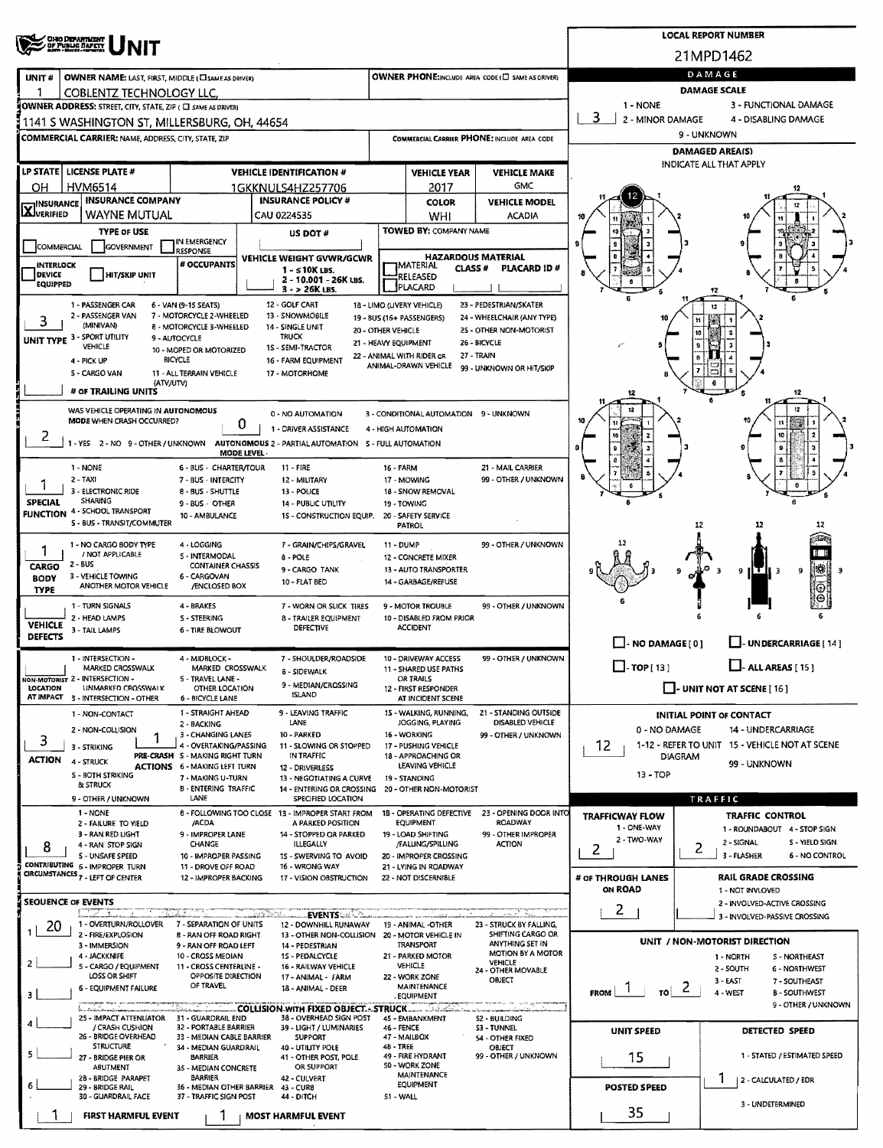|                                                                                                        |                                                              | <b>LOCAL REPORT NUMBER</b>                                |                                                   |                                                                                                             |                                                                  |                                                               |                                                      |                                                                                       |                              |                                                                      |  |  |  |
|--------------------------------------------------------------------------------------------------------|--------------------------------------------------------------|-----------------------------------------------------------|---------------------------------------------------|-------------------------------------------------------------------------------------------------------------|------------------------------------------------------------------|---------------------------------------------------------------|------------------------------------------------------|---------------------------------------------------------------------------------------|------------------------------|----------------------------------------------------------------------|--|--|--|
| <b>CHEO DEPARTMENT</b><br>OF PUBLIC BAPETT                                                             |                                                              |                                                           |                                                   |                                                                                                             |                                                                  |                                                               |                                                      | 21MPD1462                                                                             |                              |                                                                      |  |  |  |
| UNIT#                                                                                                  | OWNER NAME: LAST, FIRST, MIDDLE (CI SAME AS DRIVER)          |                                                           | OWNER PHONE:INCLUDE AREA CODE (E) SAME AS DRIVER) | DAMAGE                                                                                                      |                                                                  |                                                               |                                                      |                                                                                       |                              |                                                                      |  |  |  |
|                                                                                                        | COBLENTZ TECHNOLOGY LLC.                                     |                                                           |                                                   |                                                                                                             |                                                                  |                                                               |                                                      | <b>DAMAGE SCALE</b>                                                                   |                              |                                                                      |  |  |  |
|                                                                                                        | OWNER ADDRESS: STREET, CITY, STATE, ZIP ( C) SAME AS DRIVER! |                                                           |                                                   |                                                                                                             |                                                                  |                                                               |                                                      | 1 - NONE<br>3                                                                         |                              | 3 - FUNCTIONAL DAMAGE                                                |  |  |  |
|                                                                                                        | 1141 S WASHINGTON ST. MILLERSBURG, OH. 44654                 |                                                           |                                                   |                                                                                                             |                                                                  |                                                               |                                                      | 2 - MINOR DAMAGE<br>4 - DISABLING DAMAGE<br>9 - UNKNOWN                               |                              |                                                                      |  |  |  |
|                                                                                                        | <b>COMMERCIAL CARRIER: NAME, ADDRESS, CITY, STATE, ZIP</b>   |                                                           |                                                   |                                                                                                             |                                                                  |                                                               | COMMERCIAL CARRIER PHONE: INCLUDE AREA CODE          | <b>DAMAGED AREA(S)</b>                                                                |                              |                                                                      |  |  |  |
|                                                                                                        | LP STATE   LICENSE PLATE #                                   |                                                           |                                                   | <b>VEHICLE IDENTIFICATION #</b>                                                                             |                                                                  | <b>VEHICLE YEAR</b>                                           | <b>VEHICLE MAKE</b>                                  |                                                                                       |                              | INDICATE ALL THAT APPLY                                              |  |  |  |
| OН                                                                                                     | HVM6514                                                      |                                                           |                                                   | 1GKKNULS4HZ257706                                                                                           | GMC<br>2017                                                      |                                                               |                                                      |                                                                                       |                              |                                                                      |  |  |  |
| <b>HINSURANCE</b>                                                                                      | <b>INSURANCE COMPANY</b>                                     |                                                           |                                                   | <b>INSURANCE POLICY #</b>                                                                                   |                                                                  | <b>COLOR</b>                                                  | <b>VEHICLE MODEL</b>                                 |                                                                                       |                              |                                                                      |  |  |  |
| <b>AJVERIFIED</b><br>WAYNE MUTUAL<br>CAU 0224535                                                       |                                                              |                                                           |                                                   |                                                                                                             |                                                                  | WHI                                                           | <b>ACADIA</b>                                        |                                                                                       |                              |                                                                      |  |  |  |
|                                                                                                        | <b>TYPE OF USE</b>                                           | IN EMERGENCY                                              |                                                   | US DOT#                                                                                                     |                                                                  | <b>TOWED BY: COMPANY NAME</b>                                 |                                                      |                                                                                       |                              |                                                                      |  |  |  |
| COMMERCIAL                                                                                             | GOVERNMENT                                                   | <b>RESPONSE</b><br># OCCUPANTS                            |                                                   | VEHICLE WEIGHT GVWR/GCWR                                                                                    |                                                                  |                                                               | <b>HAZARDOUS MATERIAL</b>                            |                                                                                       |                              |                                                                      |  |  |  |
| INTERLOCK<br><b>DEVICE</b>                                                                             | <b>HIT/SKIP UNIT</b>                                         |                                                           |                                                   | $1 - 510K$ LBS.<br>2 - 10.001 - 26K LBS.                                                                    |                                                                  | <b>IMATERIAL</b><br>CLASS#<br>RELEASED                        | PLACARD ID#                                          |                                                                                       |                              |                                                                      |  |  |  |
| <b>EQUIPPED</b>                                                                                        |                                                              |                                                           |                                                   | $3 - 26K$ LBS.                                                                                              |                                                                  | <b>PLACARD</b>                                                |                                                      |                                                                                       |                              |                                                                      |  |  |  |
|                                                                                                        | 1 - PASSENGER CAR<br>2 - PASSENGER VAN                       | 6 - VAN (9-15 SEATS)<br>7 - MOTORCYCLE 2-WHEELED          |                                                   | 12 - GOLF CART<br>13 - SNOWMOBILE                                                                           |                                                                  | 18 - LIMO (LIVERY VEHICLE)<br>19 - BUS (16+ PASSENGERS)       | 23 - PEDESTRIAN/SKATER<br>24 - WHEELCHAIR (ANY TYPE) |                                                                                       |                              |                                                                      |  |  |  |
| 3                                                                                                      | (MINIVAN)                                                    | 8 - MOTORCYCLE 3-WHEELED                                  |                                                   | 14 - SINGLE UNIT<br><b>TRUCK</b>                                                                            | 20 - OTHER VEHICLE                                               |                                                               | 25 - OTHER NON-MOTORIST                              |                                                                                       |                              |                                                                      |  |  |  |
|                                                                                                        | UNIT TYPE 3 - SPORT UTILITY<br>VEHICLE                       | 9 - AUTOCYCLE<br>10 - MOPED OR MOTORIZED                  |                                                   | 15 - SEMI-TRACTOR                                                                                           |                                                                  | 21 - HEAVY EQUIPMENT<br>22 - ANIMAL WITH RIDER OR             | 26 - BICYCLE<br>27 - TRAIN                           |                                                                                       |                              |                                                                      |  |  |  |
|                                                                                                        | 4 - PICK UP<br>5 - CARGO VAN                                 | <b>BICYCLE</b><br>11 - ALL TERRAIN VEHICLE                |                                                   | 16 - FARM EQUIPMENT<br>17 - MOTORHOME                                                                       |                                                                  | ANIMAL-DRAWN VEHICLE                                          | 99 - UNKNOWN OR HIT/SKIP                             |                                                                                       |                              |                                                                      |  |  |  |
|                                                                                                        | # OF TRAILING UNITS                                          | (ATV/UTV)                                                 |                                                   |                                                                                                             |                                                                  |                                                               |                                                      |                                                                                       |                              |                                                                      |  |  |  |
|                                                                                                        | WAS VEHICLE OPERATING IN AUTONOMOUS                          |                                                           |                                                   |                                                                                                             |                                                                  |                                                               |                                                      |                                                                                       |                              | 12                                                                   |  |  |  |
|                                                                                                        | MODE WHEN CRASH OCCURRED?                                    |                                                           | 0                                                 | 0 - NO AUTOMATION<br>1 - DRIVER ASSISTANCE                                                                  |                                                                  | 3 - CONDITIONAL AUTOMATION 9 - UNKNOWN<br>4 - HIGH AUTOMATION |                                                      |                                                                                       |                              |                                                                      |  |  |  |
| 2                                                                                                      | -YES 2 - NO 9 - OTHER / UNKNOWN                              |                                                           |                                                   | AUTONOMOUS 2 - PARTIAL AUTOMATION 5 - FULL AUTOMATION                                                       |                                                                  |                                                               |                                                      |                                                                                       |                              |                                                                      |  |  |  |
|                                                                                                        |                                                              |                                                           | <b>MODE LEVEL</b>                                 |                                                                                                             |                                                                  |                                                               |                                                      |                                                                                       |                              |                                                                      |  |  |  |
|                                                                                                        | 1 - NONE<br>$2 - TAXI$                                       | 6 - BUS - CHARTER/TOUR<br>7 - BUS - INTERCITY             |                                                   | $11 - FIRE$<br>12 - MILITARY                                                                                | <b>16 - FARM</b>                                                 | 17 - MOWING                                                   | 21 - MAIL CARRIER<br>99 - OTHER / UNKNOWN            |                                                                                       |                              |                                                                      |  |  |  |
| 1                                                                                                      | 3 - ELECTRONIC RIDE<br><b>SHARING</b>                        | 8 - BUS - SHUTTLE                                         |                                                   | 13 - POLICE                                                                                                 |                                                                  | 18 - SNOW REMOVAL                                             |                                                      |                                                                                       |                              |                                                                      |  |  |  |
| <b>SPECIAL</b>                                                                                         | <b>FUNCTION 4 - SCHOOL TRANSPORT</b>                         | 9-BUS - OTHER<br>10 - AMBULANCE                           |                                                   | <b>14 - PUBLIC UTILITY</b><br>15 - CONSTRUCTION EQUIP.                                                      |                                                                  | 19 - TOWING<br>20 - SAFETY SERVICE                            |                                                      |                                                                                       |                              |                                                                      |  |  |  |
|                                                                                                        | S - BUS - TRANSIT/COMMUTER                                   |                                                           |                                                   |                                                                                                             |                                                                  | <b>PATROL</b>                                                 |                                                      |                                                                                       | 12                           |                                                                      |  |  |  |
| 7                                                                                                      | 1 - NO CARGO BODY TYPE<br>/ NOT APPLICABLE                   | 4 - LOGGING<br>S - INTERMODAL                             |                                                   | 7 - GRAIN/CHIPS/GRAVEL<br>8 - POLE                                                                          | 99 - OTHER / UNKNOWN<br>11 - DUMP<br>12 - CONCRETE MIXER         |                                                               |                                                      |                                                                                       |                              |                                                                      |  |  |  |
| $2 - BUS$<br><b>CONTAINER CHASSIS</b><br>CARGO<br>9 - CARGO TANK<br>3 - VEHICLE TOWING<br>6 - CARGOVAN |                                                              |                                                           |                                                   |                                                                                                             |                                                                  | 13 - AUTO TRANSPORTER                                         |                                                      |                                                                                       |                              | 88<br>9<br>9                                                         |  |  |  |
| BODY<br><b>TYPE</b>                                                                                    | ANOTHER MOTOR VEHICLE                                        | /ENCLOSED BOX                                             |                                                   | 10 - FLAT BED                                                                                               |                                                                  | 14 - GARBAGE/REFUSE                                           |                                                      |                                                                                       |                              |                                                                      |  |  |  |
|                                                                                                        | 1 - TURN SIGNALS                                             | 4 - BRAKES                                                |                                                   | 7 - WORN OR SLICK TIRES                                                                                     |                                                                  | 9 - MOTOR TROUBLE                                             | 99 - OTHER / UNKNOWN                                 |                                                                                       |                              |                                                                      |  |  |  |
| <b>VEHICLE</b>                                                                                         | 2 - HEAD LAMPS<br>3 - TAIL LAMPS                             | <b>S - STEERING</b><br>6 - TIRE BLOWOUT                   |                                                   | 8 - TRAILER EQUIPMENT<br><b>DEFECTIVE</b>                                                                   |                                                                  | 10 - DISABLED FROM PRIOR<br><b>ACCIDENT</b>                   |                                                      |                                                                                       |                              |                                                                      |  |  |  |
| <b>DEFECTS</b>                                                                                         |                                                              |                                                           |                                                   |                                                                                                             |                                                                  |                                                               |                                                      | $\Box$ - NO DAMAGE [ 0 ]                                                              |                              | LI-UNDERCARRIAGE [14]                                                |  |  |  |
|                                                                                                        | 1 - INTERSECTION -<br>MARKED CROSSWALK                       | 4 - MIDBLOCK -<br>MARKED CROSSWALK                        |                                                   | 7 - SHOULDER/ROADSIDE<br><b>8 - SIDEWALK</b>                                                                |                                                                  | 10 - DRIVEWAY ACCESS<br>11 - SHARED USE PATHS                 | 99 - OTHER / UNKNOWN                                 | $\Box$ -TOP[13]                                                                       |                              | $\Box$ - ALL AREAS [15]                                              |  |  |  |
| <b>LOCATION</b>                                                                                        | NON-MOTORIST 2 - INTERSECTION -<br>UNMARKED CROSSWALK        | S - TRAVEL LANE -<br>OTHER LOCATION                       |                                                   | 9 - MEDIAN/CROSSING                                                                                         | OR TRAILS<br>12 - FIRST RESPONDER                                |                                                               |                                                      | $\Box$ - UNIT NOT AT SCENE [ 16 ]                                                     |                              |                                                                      |  |  |  |
|                                                                                                        | AT IMPACT 3 - INTERSECTION - OTHER                           | 6 - BICYCLE LANE                                          |                                                   | <b>ISLAND</b>                                                                                               |                                                                  | AT INCIDENT SCENE                                             |                                                      |                                                                                       |                              |                                                                      |  |  |  |
|                                                                                                        | 1 - NON-CONTACT                                              | 1 - STRAIGHT AHEAD<br>2 - BACKING                         |                                                   | 9 - LEAVING TRAFFIC<br>LANE                                                                                 |                                                                  | 15 - WALKING, RUNNING,<br>JOGGING, PLAYING                    | 21 - STANDING OUTSIDE<br>DISABLED VEHICLE            |                                                                                       |                              | <b>INITIAL POINT OF CONTACT</b>                                      |  |  |  |
| 3                                                                                                      | 2 - NON-COLLISION<br>1                                       | 3 - CHANGING LANES                                        |                                                   | 10 - PARKED                                                                                                 |                                                                  | 16 - WORKING                                                  | 99 - OTHER / UNKNOWN                                 | 0 - NO DAMAGE<br>14 - UNDERCARRIAGE<br>1-12 - REFER TO UNIT 15 - VEHICLE NOT AT SCENE |                              |                                                                      |  |  |  |
| <b>ACTION</b>                                                                                          | 3 - STRIKING<br>4 - STRUCK                                   | 4 - OVERTAKING/PASSING<br>PRE-CRASH S - MAKING RIGHT TURN |                                                   | 11 - SLOWING OR STOPPED<br>IN TRAFFIC                                                                       |                                                                  | 17 - PUSHING VEHICLE<br>18 - APPROACHING OR                   |                                                      | 12                                                                                    | <b>DIAGRAM</b>               |                                                                      |  |  |  |
|                                                                                                        | <b>S - BOTH STRIKING</b>                                     | <b>ACTIONS 6 - MAKING LEFT TURN</b><br>7 - MAKING U-TURN  |                                                   | 12 - DRIVERLESS<br>13 - NEGOTIATING A CURVE                                                                 |                                                                  | LEAVING VEHICLE<br>19 - STANDING                              |                                                      | 13 - TOP                                                                              |                              | 99 - UNKNOWN                                                         |  |  |  |
|                                                                                                        | <b>&amp; STRUCK</b><br>9 - OTHER / UNKNOWN                   | <b>B - ENTERING TRAFFIC</b><br>LANE                       |                                                   | 14 - ENTERING OR CROSSING<br>SPECIFIED LOCATION                                                             |                                                                  | 20 - OTHER NON-MOTORIST                                       |                                                      |                                                                                       |                              | TRAFFIC                                                              |  |  |  |
|                                                                                                        | 1 - NONE                                                     |                                                           |                                                   | 8 - FOLLOWING TOO CLOSE 13 - IMPROPER START FROM                                                            |                                                                  | 18 - OPERATING DEFECTIVE                                      | 23 - OPENING DOOR INTO                               | <b>TRAFFICWAY FLOW</b>                                                                |                              | <b>TRAFFIC CONTROL</b>                                               |  |  |  |
|                                                                                                        | 2 - FAILURE TO YIELD<br>3 - RAN RED LIGHT                    | /ACDA<br>9 - IMPROPER LANE                                |                                                   | A PARKED POSITION<br>14 - STOPPED OR PARKED                                                                 |                                                                  | <b>EQUIPMENT</b><br>19 - LOAD SHIFTING                        | ROADWAY<br>99 - OTHER IMPROPER                       | 1 - ONE-WAY                                                                           |                              | 1 - ROUNDABOUT 4 - STOP SIGN                                         |  |  |  |
| 8                                                                                                      | 4 - RAN STOP SIGN<br>S - UNSAFE SPEED                        | CHANGE<br>10 - IMPROPER PASSING                           |                                                   | ILLEGALLY<br>15 - SWERVING TO AVOID                                                                         |                                                                  | /FALUNG/SPILLING<br>20 - IMPROPER CROSSING                    | <b>ACTION</b>                                        | 2 - TWO-WAY<br>2                                                                      | 2                            | 2 - SIGNAL<br>5 - YIELD SIGN<br>3 - FLASHER<br><b>6 - NO CONTROL</b> |  |  |  |
|                                                                                                        | CONTRIBUTING 6 - IMPROPER TURN                               | 11 - DROVE OFF ROAD                                       |                                                   | 16 - WRONG WAY                                                                                              |                                                                  | 21 - LYING IN ROADWAY                                         |                                                      |                                                                                       |                              |                                                                      |  |  |  |
|                                                                                                        | CIRCUMSTANCES <sub>7</sub> - LEFT OF CENTER                  | 12 - IMPROPER BACKING                                     |                                                   | 17 - VISION OBSTRUCTION                                                                                     |                                                                  | 22 - NOT DISCERNIBLE                                          |                                                      | # OF THROUGH LANES<br><b>ON ROAD</b>                                                  |                              | <b>RAIL GRADE CROSSING</b><br>1 - NOT INVLOVED                       |  |  |  |
|                                                                                                        | SEQUENCE OF EVENTS                                           |                                                           |                                                   |                                                                                                             |                                                                  |                                                               |                                                      | 2                                                                                     |                              | 2 - INVOLVED-ACTIVE CROSSING                                         |  |  |  |
| 20                                                                                                     | 1 - OVERTURN/ROLLOVER                                        | 7 - SEPARATION OF UNITS                                   |                                                   | <b>EVENTS</b><br>12 - DOWNHILL RUNAWAY                                                                      |                                                                  | 19 - ANIMAL -OTHER                                            | 23 - STRUCK BY FALLING,                              |                                                                                       |                              | 3 - INVOLVED-PASSIVE CROSSING                                        |  |  |  |
|                                                                                                        | 2 - FIRE/EXPLOSION<br>3 - IMMERSION                          | 8 - RAN OFF ROAD RIGHT<br>9 - RAN OFF ROAD LEFT           |                                                   | 13 - OTHER NON-COLLISION 20 - MOTOR VEHICLE IN<br>14 - PEDESTRIAN                                           |                                                                  | TRANSPORT                                                     | SHIFTING CARGO OR<br>ANYTHING SET IN                 |                                                                                       |                              | UNIT / NON-MOTORIST DIRECTION                                        |  |  |  |
| 2                                                                                                      | 4 - JACKKNIFE<br>5 - CARGO / EQUIPMENT                       | 10 - CROSS MEDIAN<br>11 - CROSS CENTERLINE -              |                                                   | 1S - PEDALCYCLE<br>16 - RAILWAY VEHICLE                                                                     |                                                                  | 21 - PARKED MOTOR<br>VEHICLE                                  | MOTION BY A MOTOR<br>VEHICLE                         |                                                                                       |                              | 1 - NORTH<br><b>5 - NORTHEAST</b>                                    |  |  |  |
|                                                                                                        | LOSS OR SHIFT                                                | OPPOSITE DIRECTION<br>OF TRAVEL                           |                                                   | 17 - ANIMAL - FARM                                                                                          |                                                                  | 22 - WORK ZONE                                                | 24 - OTHER MOVABLE<br>OBJECT                         |                                                                                       |                              | 2 - SOUTH<br><b>6 - NORTHWEST</b><br>$3 - EAST$<br>7 - SOUTHEAST     |  |  |  |
| 3                                                                                                      | 6 - EQUIPMENT FAILURE                                        |                                                           |                                                   | 18 - ANIMAL - DEER                                                                                          |                                                                  | MAINTENANCE<br>. EQUIPMENT                                    |                                                      | <b>FROM</b><br>TO                                                                     | $\epsilon$                   | 4 - WEST<br><b>B-SOUTHWEST</b><br>9 - OTHER / UNKNOWN                |  |  |  |
|                                                                                                        | بالمشاهدات<br>25 - IMPACT ATTENLIATOR                        | 31 - GUARDRAIL END                                        |                                                   | <b>COLLISION WITH FIXED OBJECT - STRUCK</b> COLLISION WITH FIXED OBJECT - STRUCK<br>38 - OVERHEAD SIGN POST |                                                                  | 45 - EMBANKMENT                                               | 52 - BUILDING                                        |                                                                                       |                              |                                                                      |  |  |  |
|                                                                                                        | / CRASH CUSHION<br>26 - BRIDGE OVERHEAD                      | 32 - PORTABLE BARRIER<br>33 - MEDIAN CABLE BARRIER        |                                                   | 39 - LIGHT / LUMINARIES<br><b>SUPPORT</b>                                                                   | <b>46 - FENCE</b>                                                | 47 - MAILBOX                                                  | 53 - TUNNEL<br>54 - OTHER FIXED                      | <b>UNIT SPEED</b>                                                                     |                              | DETECTED SPEED                                                       |  |  |  |
| 5                                                                                                      | <b>STRUCTURE</b><br>27 - BRIDGE PIER OR                      | 34 - MEDIAN GUARDRAIL<br><b>BARRIER</b>                   |                                                   | 40 - UTILITY POLE<br>41 - OTHER POST, POLE                                                                  | 48 - TREE<br>OBJECT<br>49 - FIRE HYDRANT<br>99 - OTHER / UNKNOWN |                                                               |                                                      | 15                                                                                    | 1 - STATED / ESTIMATED SPEED |                                                                      |  |  |  |
|                                                                                                        | ABUTMENT<br>28 - BRIDGE PARAPET                              | 35 - MEDIAN CONCRETE<br>BARRIER                           |                                                   | OR SUPPORT<br>42 - CULVERT                                                                                  |                                                                  | 50 - WORK ZONE<br><b>MAINTENANCE</b>                          |                                                      |                                                                                       |                              |                                                                      |  |  |  |
| 6                                                                                                      | 29 - BRIDGE RAIL<br>30 - GUARDRAIL FACE                      | 36 - MEDIAN OTHER BARRIER<br>37 - TRAFFIC SIGN POST       |                                                   | 43 - CUR8                                                                                                   | 51 - WALL                                                        | <b>EQUIPMENT</b>                                              |                                                      | <b>POSTED SPEED</b>                                                                   |                              | 2 - CALCULATED / EDR                                                 |  |  |  |
|                                                                                                        |                                                              |                                                           |                                                   | 44 - DITCH                                                                                                  |                                                                  |                                                               |                                                      | 35                                                                                    |                              | 3 - UNDETERMINED                                                     |  |  |  |
|                                                                                                        | <b>FIRST HARMFUL EVENT</b>                                   |                                                           |                                                   | <b>MOST HARMFUL EVENT</b>                                                                                   |                                                                  |                                                               |                                                      |                                                                                       |                              |                                                                      |  |  |  |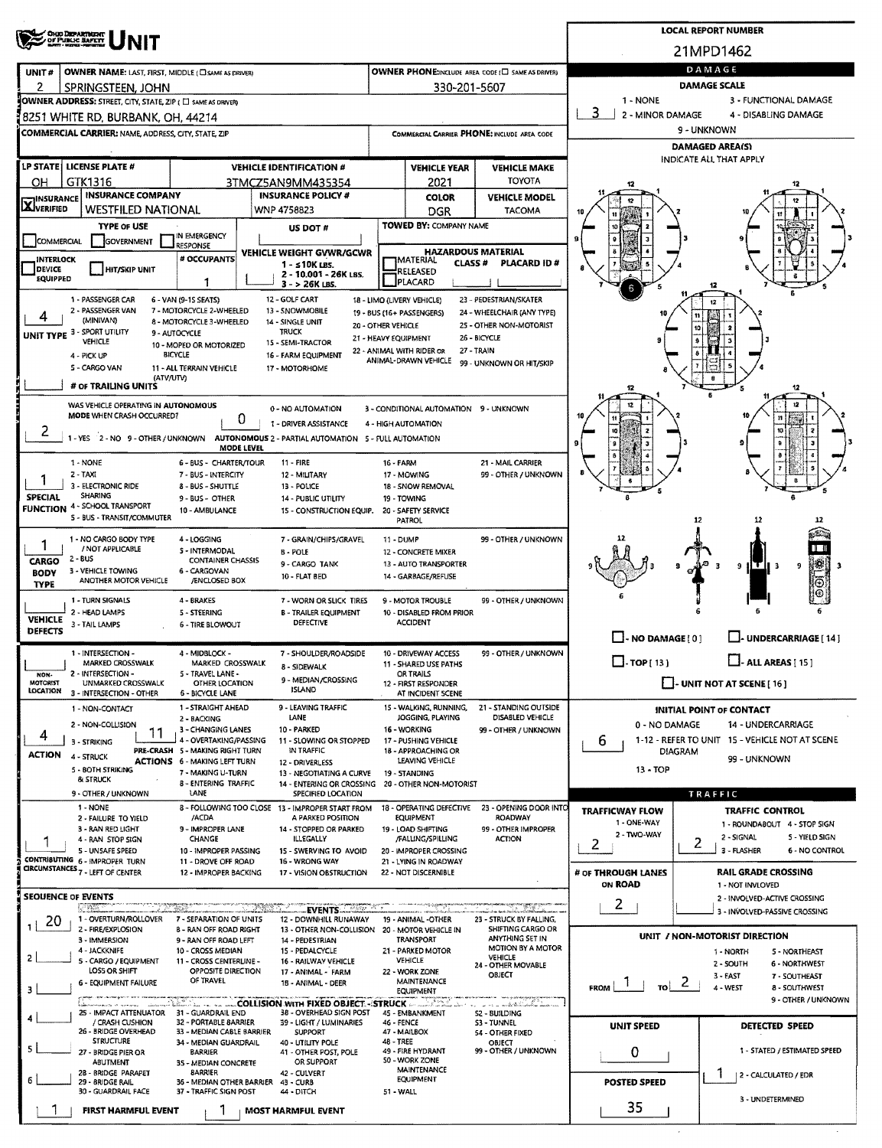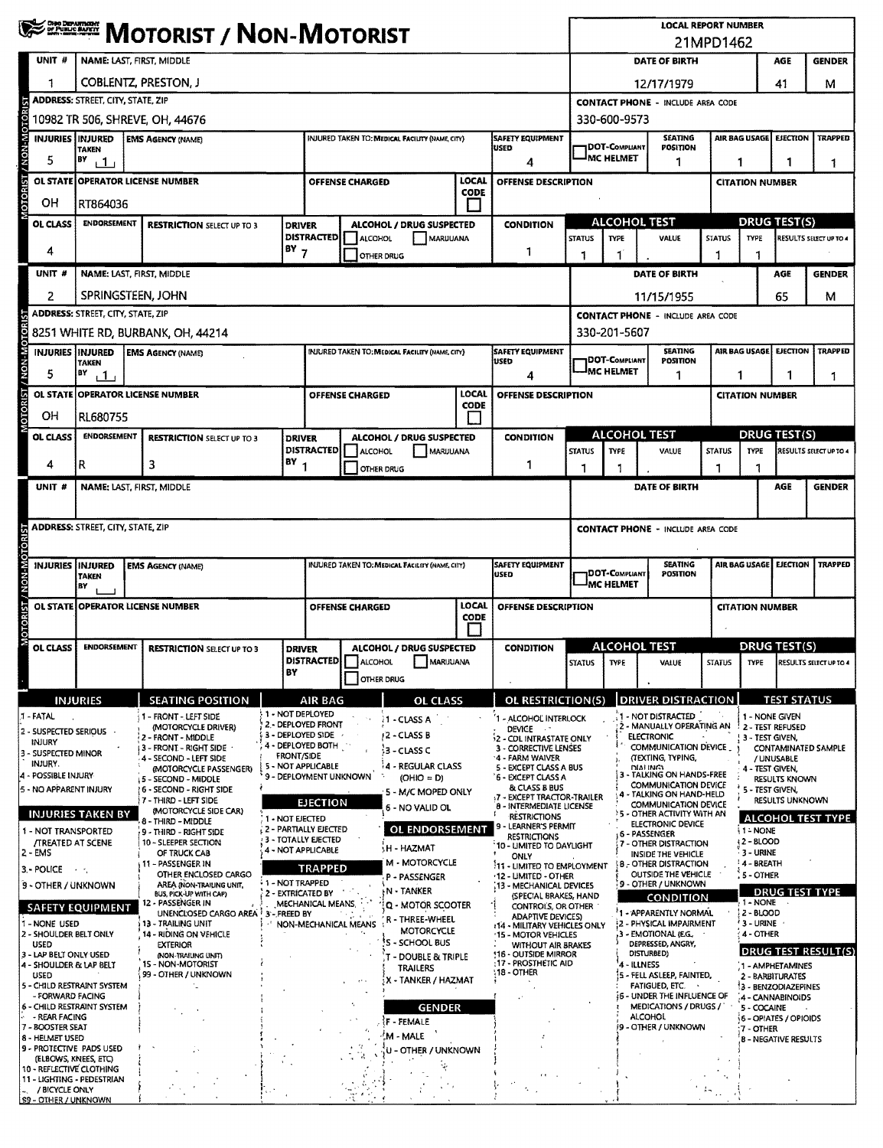|                                                                  | <b>WE ZERNE MOTORIST / NON-MOTORIST</b>                                                        |                                                                          |                    |                                                                                                                                                       |                                                     |                                                                 |                                                               |                                                          |                                                                | <b>LOCAL REPORT NUMBER</b><br>21MPD1462                                     |                                                                                  |                                                          |                                                |                                          |                                    |  |
|------------------------------------------------------------------|------------------------------------------------------------------------------------------------|--------------------------------------------------------------------------|--------------------|-------------------------------------------------------------------------------------------------------------------------------------------------------|-----------------------------------------------------|-----------------------------------------------------------------|---------------------------------------------------------------|----------------------------------------------------------|----------------------------------------------------------------|-----------------------------------------------------------------------------|----------------------------------------------------------------------------------|----------------------------------------------------------|------------------------------------------------|------------------------------------------|------------------------------------|--|
| UNIT #                                                           | NAME: LAST, FIRST, MIDDLE                                                                      |                                                                          |                    |                                                                                                                                                       |                                                     |                                                                 |                                                               |                                                          |                                                                | DATE OF BIRTH<br>AGE                                                        |                                                                                  |                                                          |                                                |                                          |                                    |  |
| 1                                                                | <b>COBLENTZ, PRESTON, J</b>                                                                    |                                                                          |                    |                                                                                                                                                       |                                                     |                                                                 |                                                               |                                                          |                                                                |                                                                             | 12/17/1979                                                                       |                                                          | 41                                             | м                                        |                                    |  |
|                                                                  | <b>ADDRESS: STREET, CITY, STATE, ZIP</b>                                                       |                                                                          |                    |                                                                                                                                                       |                                                     |                                                                 |                                                               |                                                          |                                                                |                                                                             | <b>CONTACT PHONE - INCLUDE AREA CODE</b>                                         |                                                          |                                                |                                          |                                    |  |
| <b>SOL</b>                                                       |                                                                                                | 10982 TR 506, SHREVE, OH, 44676                                          |                    |                                                                                                                                                       |                                                     |                                                                 |                                                               |                                                          |                                                                | 330-600-9573                                                                |                                                                                  |                                                          |                                                |                                          |                                    |  |
| <b>MON-MC</b><br><b>INJURIES INJURED</b>                         | <b>TAKEN</b>                                                                                   | <b>EMS AGENCY (NAME)</b>                                                 |                    | <b>INJURED TAKEN TO: MEDICAL FACILITY (NAME, CITY)</b><br><b>SAFETY EQUIPMENT</b><br><b>USED</b>                                                      |                                                     |                                                                 |                                                               |                                                          | <b>1DOT-COMPLIANT</b><br><b>IMC HELMET</b>                     | <b>SEATING</b><br><b>POSITION</b>                                           |                                                                                  | AIR BAG USAGE                                            | <b>EJECTION</b>                                | <b>TRAPPED</b>                           |                                    |  |
| 5                                                                | BY<br>$+1$                                                                                     |                                                                          |                    |                                                                                                                                                       |                                                     |                                                                 | LOCAL                                                         | 4                                                        | 1                                                              |                                                                             |                                                                                  |                                                          | 1<br>1<br>1<br><b>CITATION NUMBER</b>          |                                          |                                    |  |
| <b>OTORIST</b><br><b>OL STATE</b>                                | <b>OPERATOR LICENSE NUMBER</b><br>OFFENSE DESCRIPTION<br><b>OFFENSE CHARGED</b><br><b>CODE</b> |                                                                          |                    |                                                                                                                                                       |                                                     |                                                                 |                                                               |                                                          |                                                                |                                                                             |                                                                                  |                                                          |                                                |                                          |                                    |  |
| он<br>OL CLASS                                                   | RT864036<br><b>ENDORSEMENT</b>                                                                 |                                                                          | <b>DRIVER</b>      |                                                                                                                                                       | <b>CONDITION</b><br><b>ALCOHOL / DRUG SUSPECTED</b> |                                                                 |                                                               | <b>ALCOHOL TEST</b>                                      |                                                                |                                                                             |                                                                                  | <b>DRUG TEST(S)</b>                                      |                                                |                                          |                                    |  |
|                                                                  | <b>RESTRICTION SELECT UP TO 3</b>                                                              |                                                                          |                    | <b>DISTRACTED</b><br><b>ALCOHOL</b><br>MARUUANA                                                                                                       |                                                     |                                                                 |                                                               | <b>STATUS</b><br><b>TYPE</b>                             |                                                                | VALUE                                                                       | <b>STATUS</b>                                                                    |                                                          |                                                | <b>RESULTS SELECT UP TO 4</b>            |                                    |  |
| 4                                                                |                                                                                                | $18Y$ 7                                                                  |                    |                                                                                                                                                       |                                                     | OTHER DRUG                                                      | 1                                                             |                                                          |                                                                |                                                                             |                                                                                  |                                                          |                                                |                                          |                                    |  |
| UNIT #                                                           | NAME: LAST, FIRST, MIDDLE                                                                      |                                                                          |                    |                                                                                                                                                       |                                                     |                                                                 |                                                               |                                                          |                                                                |                                                                             | DATE OF BIRTH                                                                    |                                                          |                                                | AGE                                      | <b>GENDER</b>                      |  |
| 2                                                                | SPRINGSTEEN, JOHN<br><b>ADDRESS: STREET, CITY, STATE, ZIP</b>                                  |                                                                          |                    |                                                                                                                                                       |                                                     |                                                                 |                                                               |                                                          |                                                                |                                                                             | 11/15/1955                                                                       |                                                          |                                                | 65                                       | м                                  |  |
|                                                                  |                                                                                                | 8251 WHITE RD, BURBANK, OH, 44214                                        |                    |                                                                                                                                                       |                                                     |                                                                 |                                                               |                                                          |                                                                | 330-201-5607                                                                | <b>CONTACT PHONE - INCLUDE AREA CODE</b>                                         |                                                          |                                                |                                          |                                    |  |
| <b>INJURIES INJURED</b>                                          |                                                                                                | <b>EMS AGENCY (NAME)</b>                                                 |                    |                                                                                                                                                       |                                                     | INJURED TAKEN TO: MEDICAL FACILITY (NAME, CITY)                 |                                                               | <b>SAFETY EQUIPMENT</b>                                  |                                                                |                                                                             | <b>SEATING</b>                                                                   |                                                          | AIR BAG USAGE EJECTION                         |                                          | <b>TRAPPED</b>                     |  |
| <b>MON-M</b><br>5                                                | <b>TAKEN</b><br>BY<br>111                                                                      |                                                                          |                    |                                                                                                                                                       |                                                     |                                                                 |                                                               | USED<br>4                                                |                                                                | 1DOT-Compliant<br>IMC HELMET                                                | POSITION<br>1                                                                    |                                                          | 1                                              | 1                                        | 1                                  |  |
|                                                                  | OL STATE OPERATOR LICENSE NUMBER                                                               |                                                                          |                    |                                                                                                                                                       | <b>OFFENSE CHARGED</b>                              |                                                                 | LOCAL                                                         | OFFENSE DESCRIPTION                                      |                                                                |                                                                             |                                                                                  |                                                          | <b>CITATION NUMBER</b>                         |                                          |                                    |  |
| <b>OTORIST</b><br>OН                                             | RL680755                                                                                       |                                                                          |                    |                                                                                                                                                       |                                                     |                                                                 | <b>CODE</b><br>$\mathbf{I}$                                   |                                                          |                                                                |                                                                             |                                                                                  |                                                          |                                                |                                          |                                    |  |
| OL CLASS                                                         | <b>ENDORSEMENT</b>                                                                             | <b>RESTRICTION SELECT UP TO 3</b>                                        |                    | <b>DRIVER</b>                                                                                                                                         |                                                     | ALCOHOL / DRUG SUSPECTED                                        |                                                               | <b>CONDITION</b>                                         |                                                                | <b>ALCOHOL TEST</b>                                                         |                                                                                  |                                                          | <b>DRUG TEST(S)</b>                            |                                          |                                    |  |
| 4                                                                | R                                                                                              | 3                                                                        | $18Y$ <sub>1</sub> | DISTRACTED                                                                                                                                            | <b>ALCOHOL</b>                                      |                                                                 | MARUUANA<br>1                                                 |                                                          |                                                                | <b>TYPE</b>                                                                 | VALUE                                                                            | <b>STATUS</b>                                            | <b>TYPE</b><br>1                               |                                          | RESULTS SELECT UP TO 4             |  |
| UNIT #                                                           | NAME: LAST, FIRST, MIDDLE                                                                      |                                                                          |                    |                                                                                                                                                       |                                                     | OTHER DRUG                                                      |                                                               |                                                          | 1                                                              | 1                                                                           | DATE OF BIRTH                                                                    | 1                                                        |                                                | <b>AGE</b>                               | <b>GENDER</b>                      |  |
|                                                                  |                                                                                                |                                                                          |                    |                                                                                                                                                       |                                                     |                                                                 |                                                               |                                                          |                                                                |                                                                             |                                                                                  |                                                          |                                                |                                          |                                    |  |
|                                                                  | <b>ADDRESS: STREET, CITY, STATE, ZIP</b>                                                       |                                                                          |                    |                                                                                                                                                       |                                                     |                                                                 |                                                               |                                                          | <b>CONTACT PHONE - INCLUDE AREA CODE</b>                       |                                                                             |                                                                                  |                                                          |                                                |                                          |                                    |  |
|                                                                  |                                                                                                |                                                                          |                    |                                                                                                                                                       |                                                     |                                                                 |                                                               |                                                          |                                                                |                                                                             |                                                                                  |                                                          |                                                |                                          |                                    |  |
| <b>DIN-NON</b><br><b>INJURIES IINJURED</b>                       | <b>TAKEN</b>                                                                                   | <b>EMS AGENCY (NAME)</b>                                                 |                    |                                                                                                                                                       |                                                     | INJURED TAKEN TO: MEDICAL FACILITY (NAME, CITY)                 |                                                               | SAFETY EQUIPMENT<br><b>USED</b>                          |                                                                | DOT-COMPLIANT                                                               | <b>SEATING</b><br>POSITION                                                       |                                                          | AIR BAG USAGE EJECTION                         |                                          | <b>TRAPPED</b>                     |  |
|                                                                  | BY                                                                                             |                                                                          |                    |                                                                                                                                                       |                                                     |                                                                 |                                                               |                                                          | <sup>I</sup> MC HELMET                                         |                                                                             |                                                                                  |                                                          |                                                |                                          |                                    |  |
| OTORIST/<br><b>OL STATE</b>                                      | <b>OPERATOR LICENSE NUMBER</b>                                                                 |                                                                          |                    | <b>LOCAL</b><br>OFFENSE DESCRIPTION<br>OFFENSE CHARGED<br><b>CODE</b>                                                                                 |                                                     |                                                                 |                                                               |                                                          |                                                                |                                                                             |                                                                                  | <b>CITATION NUMBER</b>                                   |                                                |                                          |                                    |  |
|                                                                  |                                                                                                |                                                                          |                    |                                                                                                                                                       |                                                     |                                                                 |                                                               |                                                          |                                                                |                                                                             |                                                                                  |                                                          |                                                |                                          |                                    |  |
| OL CLASS                                                         | <b>ENDORSEMENT</b>                                                                             | <b>RESTRICTION SELECT UP TO 3</b>                                        |                    | <b>DRIVER</b>                                                                                                                                         |                                                     | ALCOHOL / DRUG SUSPECTED<br><b>DISTRACTED ALCOHOL MARIJUANA</b> |                                                               | <b>CONDITION</b>                                         | STATUS I TYPE                                                  |                                                                             | <b>ALCOHOL TEST</b><br>VALUE                                                     |                                                          | <b>DRUG TEST(S)</b>                            |                                          | STATUS TYPE RESULTS SELECT UP TO 4 |  |
|                                                                  |                                                                                                |                                                                          | BY                 |                                                                                                                                                       |                                                     | OTHER DRUG                                                      |                                                               |                                                          |                                                                |                                                                             |                                                                                  |                                                          |                                                |                                          |                                    |  |
|                                                                  | <b>INJURIES</b>                                                                                | <b>SEATING POSITION</b>                                                  |                    | <b>AIR BAG</b>                                                                                                                                        |                                                     | <b>OL CLASS</b>                                                 |                                                               | OL RESTRICTION(S)                                        |                                                                |                                                                             | <b>DRIVER DISTRACTION</b>                                                        |                                                          |                                                | <b>TEST STATUS</b>                       |                                    |  |
| J - FATAL<br>2 - SUSPECTED SERIOUS                               |                                                                                                | 1 - FRONT - LEFT SIDE<br>(MOTORCYCLE DRIVER)                             | 1 - NOT DEPLOYED   | 2. DEPLOYED FRONT                                                                                                                                     |                                                     | 1 - CLASS A                                                     |                                                               | 1 - ALCOHOL INTERLOCK<br>DEVICE *                        |                                                                |                                                                             | 1 - NOT DISTRACTED<br>2 - MANUALLY OPERATING AN 32 - TEST REFUSED                |                                                          | 1 - NONE GIVEN                                 |                                          |                                    |  |
| INJURY<br>3 - SUSPECTED MINOR                                    |                                                                                                | 2 - FRONT - MIDDLE<br>3 - FRONT - RIGHT SIDE                             |                    | 3 - DEPLOYED SIDE<br>/2 - CLASS B<br><b>2 - CDL INTRASTATE ONLY</b><br>4 - DEPLOYED BOTH<br>3 - CORRECTIVE LENSES<br>3 - CLASS C<br><b>FRONT/SIDE</b> |                                                     |                                                                 |                                                               | <b>ELECTRONIC</b><br><b>COMMUNICATION DEVICE</b>         | 3 - TEST GIVEN,<br><b>CONTAMINATED SAMPLE</b>                  |                                                                             |                                                                                  |                                                          |                                                |                                          |                                    |  |
| INJURY.<br>4 - POSSIBLE INJURY                                   |                                                                                                | 4 - SECOND - LEFT SIDE<br>(MOTORCYCLE PASSENGER)                         |                    | 4 - FARM WAIVER<br>4 - REGULAR CLASS<br>5 - NOT APPLICABLE<br>5 - EXCEPT CLASS A BUS<br>9 - DEPLOYMENT UNKNOWN<br>$(OHIO = D)$<br>'6 - EXCEPT CLASS A |                                                     |                                                                 |                                                               |                                                          | (TEXTING, TYPING,<br><b>DIALING</b><br>- TALKING ON HANDS-FREE | / UNUSABLE<br>4 - TEST GIVEN,<br>RESULTS KNOWN                              |                                                                                  |                                                          |                                                |                                          |                                    |  |
| 5 - NO APPARENT INJURY                                           |                                                                                                | 5 - SECOND - MIDDLE<br>16 - SECOND - RIGHT SIDE<br>7 - THIRD - LEFT SIDE |                    | 5 - M/C MOPED ONLY                                                                                                                                    |                                                     |                                                                 |                                                               | & CLASS B BUS<br>17 - EXCEPT TRACTOR-TRAILER             |                                                                | <b>COMMUNICATION DEVICE</b><br>- TALKING ON HAND-HELD                       | 5 - TEST GIVEN,<br>RESULTS UNKNOWN                                               |                                                          |                                                |                                          |                                    |  |
|                                                                  | <b>INJURIES TAKEN BY</b>                                                                       | (MOTORCYCLE SIDE CAR)<br>8 - THIRD - MIDDLE                              | 1 - NOT EJECTED    | <b>EJECTION</b><br>8 - INTERMEDIATE LICENSE<br>6 - NO VALID OL<br><b>RESTRICTIONS</b>                                                                 |                                                     |                                                                 |                                                               |                                                          |                                                                | <b>COMMUNICATION DEVICE</b><br>'S - OTHER ACTIVITY WITH AN                  | ALCOHOL TEST TYPE                                                                |                                                          |                                                |                                          |                                    |  |
| 1 - NOT TRANSPORTED<br><b><i>TREATED AT SCENE</i></b>            |                                                                                                | 9 - THIRD - RIGHT SIDE<br>10 - SLEEPER SECTION                           |                    | OL ENDORSEMENT<br>, 2 - PARTIALLY EJECTED<br>3 - TOTALLY EJECTED                                                                                      |                                                     |                                                                 | 9 - LEARNER'S PERMIT<br><b>RESTRICTIONS</b>                   |                                                          |                                                                | ELECTRONIC DEVICE<br>.6 - PASSENGER                                         |                                                                                  |                                                          | 1 - NONE<br><b>12-BLOOD</b>                    |                                          |                                    |  |
| 2 - EMS                                                          |                                                                                                | OF TRUCK CAB<br>11 - PASSENGER IN                                        |                    | H - HAZMAT<br>4 - NOT APPLICABLE<br>M - MOTORCYCLE                                                                                                    |                                                     |                                                                 | 10 - UMITED TO DAYLIGHT<br>ONLY<br>11 - LIMITED TO EMPLOYMENT |                                                          |                                                                | 7 - OTHER DISTRACTION<br>INSIDE THE VEHICLE<br><b>8 - OTHER DISTRACTION</b> |                                                                                  |                                                          | 3 - URINE<br>4 - BREATH                        |                                          |                                    |  |
| 3. - POLICE<br>9 - OTHER / UNKNOWN                               | $\sim 10^{-1}$                                                                                 | OTHER ENCLOSED CARGO<br>AREA (NON-TRAILING UNIT.                         |                    | <b>TRAPPED</b><br>P - PASSENGER<br>1 - NOT TRAPPED                                                                                                    |                                                     |                                                                 | 12 - LIMITED - OTHER<br>13 - MECHANICAL DEVICES               |                                                          |                                                                | OUTSIDE THE VEHICLE<br>9 - OTHER / UNKNOWN                                  |                                                                                  |                                                          | <b>S-OTHER</b>                                 |                                          |                                    |  |
|                                                                  | <b>SAFETY EQUIPMENT</b>                                                                        | BUS, PICK-UP WITH CAP)<br>12 - PASSENGER IN                              |                    | N - TANKER<br>2 - EXTRICATED BY<br>MECHANICAL MEANS.<br>Q - MOTOR SCOOTER                                                                             |                                                     |                                                                 |                                                               | (SPECIAL BRAKES, HAND<br>CONTROLS, OR OTHER              |                                                                |                                                                             | CONDITION                                                                        |                                                          |                                                | <b>DRUG TEST TYPE</b><br>1 - NONE        |                                    |  |
| 1 - NONE USED                                                    |                                                                                                | UNENCLOSED CARGO AREA <sup>1</sup> 3'- FREED BY<br>13 - TRAILING UNIT    |                    | NON-MECHANICAL MEANS                                                                                                                                  |                                                     | R - THREE-WHEEL                                                 |                                                               | <b>ADAPTIVE DEVICES)</b><br>114 - MILITARY VEHICLES ONLY |                                                                |                                                                             | 1 - APPARENTLY NORMAL<br>2 - PHYSICAL IMPAIRMENT                                 |                                                          |                                                | 2 - BLOOD<br>'3 - URINE                  |                                    |  |
| 2 - SHOULDER BELT ONLY<br><b>USED</b>                            |                                                                                                | 14 - RIDING ON VEHICLE<br><b>EXTERIOR</b>                                |                    | MOTORCYCLE<br>S - SCHOOL BUS!                                                                                                                         |                                                     |                                                                 | 15 - MOTOR VEHICLES<br>WITHOUT AIR BRAKES                     |                                                          |                                                                | 3 - EMOTIONAL (E.G.,<br>DEPRESSED, ANGRY,                                   |                                                                                  |                                                          | <b>A - OTHER</b><br><b>DRUG TEST RESULT(S)</b> |                                          |                                    |  |
| 3 - LAP BELT ONLY USED<br>4 - SHOULDER & LAP BELT<br><b>USED</b> |                                                                                                | (NON-TRAILING LINIT)<br>15 - NON-MOTORIST<br>99 - OTHER / UNKNOWN        |                    | - DOUBLE & TRIPLE<br>TRAILERS                                                                                                                         |                                                     |                                                                 | !16 - OUTSIDE MIRROR<br>:17 - PROSTHETIC AID<br>18 - OTHER    |                                                          | DISTURBED)<br>4 - ILLNESS                                      |                                                                             |                                                                                  | , 1 - AMPHETAMINES                                       |                                                |                                          |                                    |  |
| 5 - CHILD RESTRAINT SYSTEM<br>- FORWARD FACING                   |                                                                                                |                                                                          |                    |                                                                                                                                                       |                                                     | X - TANKER / HAZMAT                                             |                                                               |                                                          |                                                                |                                                                             | 5 - FELL ASLEEP, FAINTED,<br>FATIGUED, ETC.<br><b>6 - UNDER THE INFLUENCE OF</b> |                                                          |                                                | 2 - BARBITURATES<br>13 - BENZODIAZEPINES |                                    |  |
| 6 - CHILD RESTRAINT SYSTEM<br>- REAR FACING                      |                                                                                                |                                                                          |                    |                                                                                                                                                       |                                                     | <b>GENDER</b>                                                   |                                                               |                                                          | MEDICATIONS / DRUGS /<br><b>ALCOHOL</b>                        |                                                                             |                                                                                  | 4 - CANNABINOIDS<br>5 - COCAINE<br>6 - OPIATES / OPIOIDS |                                                |                                          |                                    |  |
| 7 - BOOSTER SEAT<br>8 - HELMET USED                              |                                                                                                |                                                                          |                    | <b>F-FEMALE</b><br>M - MALE                                                                                                                           |                                                     |                                                                 |                                                               |                                                          |                                                                | 9 - OTHER / UNKNOWN                                                         |                                                                                  |                                                          | 7-OTHER                                        |                                          |                                    |  |
| 9 - PROTECTIVE PADS USED<br>(ELBOWS, KNEES, ETC)                 |                                                                                                |                                                                          |                    |                                                                                                                                                       | U – OTHER / UNKNOWN                                 |                                                                 |                                                               |                                                          |                                                                |                                                                             |                                                                                  |                                                          | <b>B-NEGATIVE RESULTS</b>                      |                                          |                                    |  |
| 10 - REFLECTIVE CLOTHING<br>11 - LIGHTING - PEDESTRIAN           |                                                                                                |                                                                          |                    |                                                                                                                                                       |                                                     |                                                                 |                                                               |                                                          |                                                                |                                                                             |                                                                                  |                                                          |                                                |                                          |                                    |  |
| / BICYCLE ONLY<br><b>S9 - OTHER / UNKNOWN</b>                    |                                                                                                |                                                                          |                    |                                                                                                                                                       |                                                     |                                                                 |                                                               |                                                          |                                                                |                                                                             |                                                                                  |                                                          |                                                |                                          |                                    |  |